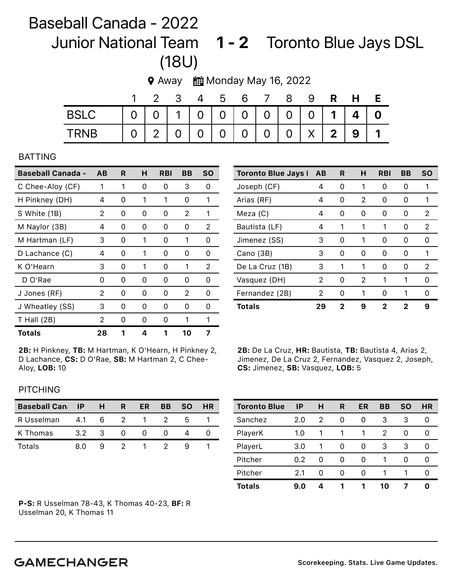## Baseball Canada - 2022 Junior National Team 1 - 2 Toronto Blue Jays DSL (18U)

◆ Away ■ Monday May 16, 2022

|             |                       | 34 | $5^{\circ}$ | 6                 |  | -9 | H              |  |
|-------------|-----------------------|----|-------------|-------------------|--|----|----------------|--|
| <b>BSLC</b> | 0 0 1 0 0 0 0 0 0 1 4 |    |             |                   |  |    |                |  |
| <b>TRNB</b> |                       |    |             | 2 0 0 0 0 0 0 X 2 |  |    | 9 <sup>1</sup> |  |

## BATTING

| <b>Baseball Canada -</b> | AB | R | н | RBI               | BВ            | <b>SO</b>     |
|--------------------------|----|---|---|-------------------|---------------|---------------|
| C Chee-Aloy (CF)         | 1  | 1 | Ω | 0                 | 3             | 0             |
| H Pinkney (DH)           | 4  | 0 | 1 | 1                 | 0             | 1             |
| S White (1B)             | 2  | 0 | Ω | 0                 | 2             | 1             |
| M Naylor (3B)            | 4  | 0 | 0 | 0                 | O)            | 2             |
| M Hartman (LF)           | 3  | 0 | 1 | 0                 | 1             | Ω             |
| D Lachance (C)           | 4  | 0 | 1 | 0                 | 0             | 0             |
| K O'Hearn                | 3  | 0 | 1 | 0                 | 1             | 2             |
| D O'Rae                  | Ω  | 0 | Ω | 0                 | 0             | Ω             |
| J Jones (RF)             | 2  | 0 | Ω | 0                 | 2             | Ω             |
| J Wheatley (SS)          | 3  | O | O | $\mathbf{\Omega}$ | $\mathcal{L}$ | $\mathcal{L}$ |
| $T$ Hall (2B)            | 2  | 0 | Ω | 0                 | 1             | 1             |
| Totals                   | 28 | 1 | 4 | 1                 | 10            |               |

2B: H Pinkney, TB: M Hartman, K O'Hearn, H Pinkney 2, D Lachance, CS: D O'Rae, SB: M Hartman 2, C Chee-Aloy, LOB: 10

| <b>Toronto Blue Jays I</b> | <b>AB</b> | R. | н | <b>RBI</b> | BВ                | <b>SO</b> |
|----------------------------|-----------|----|---|------------|-------------------|-----------|
| Joseph (CF)                | 4         | Ω  | 1 | O          | O                 |           |
| Arias (RF)                 | 4         | 0  | 2 | 0          | $\mathcal{L}$     | 1         |
| Meza (C)                   | 4         | ი  | 0 | Ω          | O                 | 2         |
| Bautista (LF)              | 4         | 1  | 1 |            | O                 | 2         |
| Jimenez (SS)               | 3         | Ω  | 1 | O          | O                 | Ω         |
| Cano (3B)                  | 3         | 0  | O | 0          | $\mathbf{\Omega}$ | 1         |
| De La Cruz (1B)            | 3         | 1  | 1 | O          | $\mathcal{L}$     | 2         |
| Vasquez (DH)               | 2         | ი  | 2 | 1          | 1                 | Ω         |
| Fernandez (2B)             | 2         | ი  | 1 | O          |                   | Ω         |
| <b>Totals</b>              | 29        | 2  | 9 | 2          | 2                 | 9         |

2B: De La Cruz, HR: Bautista, TB: Bautista 4, Arias 2, Jimenez, De La Cruz 2, Fernandez, Vasquez 2, Joseph, CS: Jimenez, SB: Vasquez, LOB: 5

## **PITCHING**

| <b>Baseball Cannes</b> |     | H  | R | ER | BB | <b>SO</b> | <b>HR</b> |
|------------------------|-----|----|---|----|----|-----------|-----------|
| R Usselman             | 4.1 | 6  | 2 |    |    | h         |           |
| K Thomas               | 3.2 | -3 |   |    |    |           |           |
| Totals                 | 8 O |    |   |    |    |           |           |

Toronto Blue IP H R ER BB SO HR Sanchez 2.0 2 0 0 3 3 0 PlayerK 1.0 1 1 1 2 0 0 PlayerL 3.0 1 0 0 3 3 0 Pitcher 0.2 0 0 0 1 0 0 Pitcher 2.1 0 0 0 1 1 0 Totals 9.0 4 1 1 10 7 0

P-S: R Usselman 78-43, K Thomas 40-23, BF: R Usselman 20, K Thomas 11